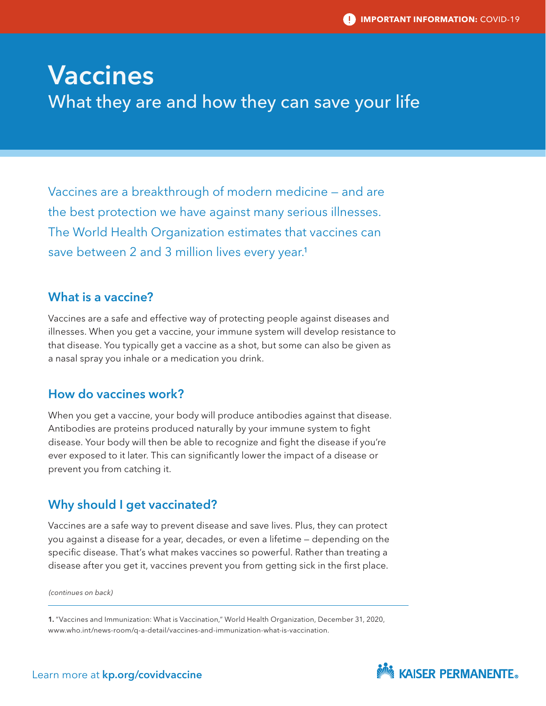# Vaccines What they are and how they can save your life

Vaccines are a breakthrough of modern medicine — and are the best protection we have against many serious illnesses. The World Health Organization estimates that vaccines can save between 2 and 3 million lives every year.<sup>1</sup>

# What is a vaccine?

Vaccines are a safe and effective way of protecting people against diseases and illnesses. When you get a vaccine, your immune system will develop resistance to that disease. You typically get a vaccine as a shot, but some can also be given as a nasal spray you inhale or a medication you drink.

# How do vaccines work?

When you get a vaccine, your body will produce antibodies against that disease. Antibodies are proteins produced naturally by your immune system to fight disease. Your body will then be able to recognize and fight the disease if you're ever exposed to it later. This can significantly lower the impact of a disease or prevent you from catching it.

# Why should I get vaccinated?

Vaccines are a safe way to prevent disease and save lives. Plus, they can protect you against a disease for a year, decades, or even a lifetime — depending on the specific disease. That's what makes vaccines so powerful. Rather than treating a disease after you get it, vaccines prevent you from getting sick in the first place.

*(continues on back)*

1. "Vaccines and Immunization: What is Vaccination," World Health Organization, December 31, 2020, www.who.int/news-room/q-a-detail/vaccines-and-immunization-what-is-vaccination.